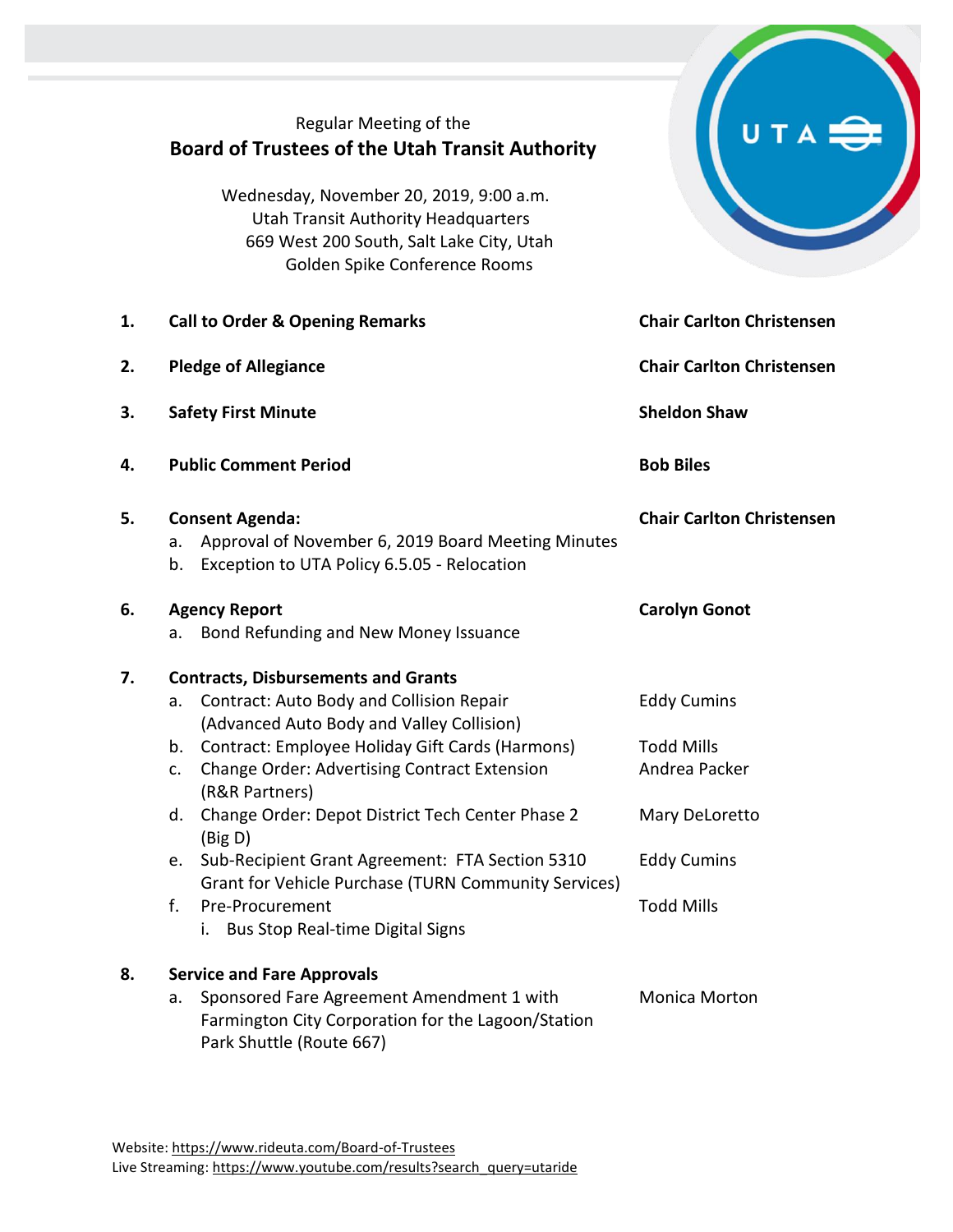|    | Regular Meeting of the<br><b>Board of Trustees of the Utah Transit Authority</b><br>Wednesday, November 20, 2019, 9:00 a.m.<br><b>Utah Transit Authority Headquarters</b><br>669 West 200 South, Salt Lake City, Utah<br>Golden Spike Conference Rooms                                                                                                 |                                                                            |
|----|--------------------------------------------------------------------------------------------------------------------------------------------------------------------------------------------------------------------------------------------------------------------------------------------------------------------------------------------------------|----------------------------------------------------------------------------|
| 1. | <b>Call to Order &amp; Opening Remarks</b>                                                                                                                                                                                                                                                                                                             | <b>Chair Carlton Christensen</b>                                           |
| 2. | <b>Pledge of Allegiance</b>                                                                                                                                                                                                                                                                                                                            | <b>Chair Carlton Christensen</b>                                           |
| 3. | <b>Safety First Minute</b>                                                                                                                                                                                                                                                                                                                             | <b>Sheldon Shaw</b>                                                        |
| 4. | <b>Public Comment Period</b>                                                                                                                                                                                                                                                                                                                           | <b>Bob Biles</b>                                                           |
| 5. | <b>Consent Agenda:</b><br>Approval of November 6, 2019 Board Meeting Minutes<br>a.<br>Exception to UTA Policy 6.5.05 - Relocation<br>b.                                                                                                                                                                                                                | <b>Chair Carlton Christensen</b>                                           |
| 6. | <b>Agency Report</b><br>Bond Refunding and New Money Issuance<br>а.                                                                                                                                                                                                                                                                                    | <b>Carolyn Gonot</b>                                                       |
| 7. | <b>Contracts, Disbursements and Grants</b><br>Contract: Auto Body and Collision Repair<br>a.<br>(Advanced Auto Body and Valley Collision)<br>Contract: Employee Holiday Gift Cards (Harmons)<br>b.<br><b>Change Order: Advertising Contract Extension</b><br>c.<br>(R&R Partners)<br>Change Order: Depot District Tech Center Phase 2<br>d.<br>(Big D) | <b>Eddy Cumins</b><br><b>Todd Mills</b><br>Andrea Packer<br>Mary DeLoretto |
|    | Sub-Recipient Grant Agreement: FTA Section 5310<br>e.<br>Grant for Vehicle Purchase (TURN Community Services)<br>Pre-Procurement<br>f.<br><b>Bus Stop Real-time Digital Signs</b><br>i.                                                                                                                                                                | <b>Eddy Cumins</b><br><b>Todd Mills</b>                                    |
| 8. | <b>Service and Fare Approvals</b><br>Sponsored Fare Agreement Amendment 1 with<br>a.<br>Farmington City Corporation for the Lagoon/Station<br>Park Shuttle (Route 667)                                                                                                                                                                                 | <b>Monica Morton</b>                                                       |